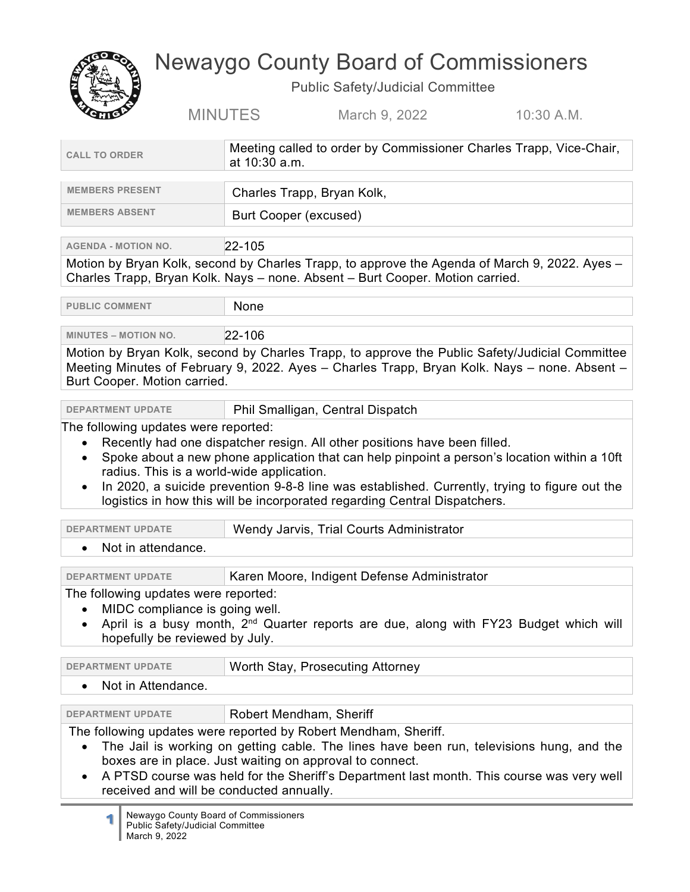

## Newaygo County Board of Commissioners

Public Safety/Judicial Committee

| ROTTO                                                                                                                                                                                                         | <b>MINUTES</b><br>10:30 A.M.<br>March 9, 2022                                                                                                                                                                                                                                                                        |
|---------------------------------------------------------------------------------------------------------------------------------------------------------------------------------------------------------------|----------------------------------------------------------------------------------------------------------------------------------------------------------------------------------------------------------------------------------------------------------------------------------------------------------------------|
| <b>CALL TO ORDER</b>                                                                                                                                                                                          | Meeting called to order by Commissioner Charles Trapp, Vice-Chair,<br>at 10:30 a.m.                                                                                                                                                                                                                                  |
| <b>MEMBERS PRESENT</b>                                                                                                                                                                                        | Charles Trapp, Bryan Kolk,                                                                                                                                                                                                                                                                                           |
| <b>MEMBERS ABSENT</b>                                                                                                                                                                                         | <b>Burt Cooper (excused)</b>                                                                                                                                                                                                                                                                                         |
| <b>AGENDA - MOTION NO.</b>                                                                                                                                                                                    | 22-105                                                                                                                                                                                                                                                                                                               |
|                                                                                                                                                                                                               | Motion by Bryan Kolk, second by Charles Trapp, to approve the Agenda of March 9, 2022. Ayes -<br>Charles Trapp, Bryan Kolk. Nays - none. Absent - Burt Cooper. Motion carried.                                                                                                                                       |
| <b>PUBLIC COMMENT</b>                                                                                                                                                                                         | None                                                                                                                                                                                                                                                                                                                 |
| <b>MINUTES – MOTION NO.</b>                                                                                                                                                                                   | 22-106                                                                                                                                                                                                                                                                                                               |
| Burt Cooper. Motion carried.                                                                                                                                                                                  | Motion by Bryan Kolk, second by Charles Trapp, to approve the Public Safety/Judicial Committee<br>Meeting Minutes of February 9, 2022. Ayes - Charles Trapp, Bryan Kolk. Nays - none. Absent -                                                                                                                       |
| <b>DEPARTMENT UPDATE</b>                                                                                                                                                                                      | Phil Smalligan, Central Dispatch                                                                                                                                                                                                                                                                                     |
|                                                                                                                                                                                                               | radius. This is a world-wide application.<br>In 2020, a suicide prevention 9-8-8 line was established. Currently, trying to figure out the<br>logistics in how this will be incorporated regarding Central Dispatchers.                                                                                              |
| <b>DEPARTMENT UPDATE</b>                                                                                                                                                                                      | Wendy Jarvis, Trial Courts Administrator                                                                                                                                                                                                                                                                             |
| Not in attendance.<br>$\bullet$                                                                                                                                                                               |                                                                                                                                                                                                                                                                                                                      |
| <b>DEPARTMENT UPDATE</b>                                                                                                                                                                                      | Karen Moore, Indigent Defense Administrator                                                                                                                                                                                                                                                                          |
| The following updates were reported:<br>MIDC compliance is going well.<br>April is a busy month, 2 <sup>nd</sup> Quarter reports are due, along with FY23 Budget which will<br>hopefully be reviewed by July. |                                                                                                                                                                                                                                                                                                                      |
| <b>DEPARTMENT UPDATE</b>                                                                                                                                                                                      | Worth Stay, Prosecuting Attorney                                                                                                                                                                                                                                                                                     |
| Not in Attendance.                                                                                                                                                                                            |                                                                                                                                                                                                                                                                                                                      |
| <b>DEPARTMENT UPDATE</b>                                                                                                                                                                                      | Robert Mendham, Sheriff                                                                                                                                                                                                                                                                                              |
| received and will be conducted annually.                                                                                                                                                                      | The following updates were reported by Robert Mendham, Sheriff.<br>The Jail is working on getting cable. The lines have been run, televisions hung, and the<br>boxes are in place. Just waiting on approval to connect.<br>A PTSD course was held for the Sheriff's Department last month. This course was very well |

**1** Newaygo County Board of Commissioners Public Safety/Judicial Committee March 9, 2022